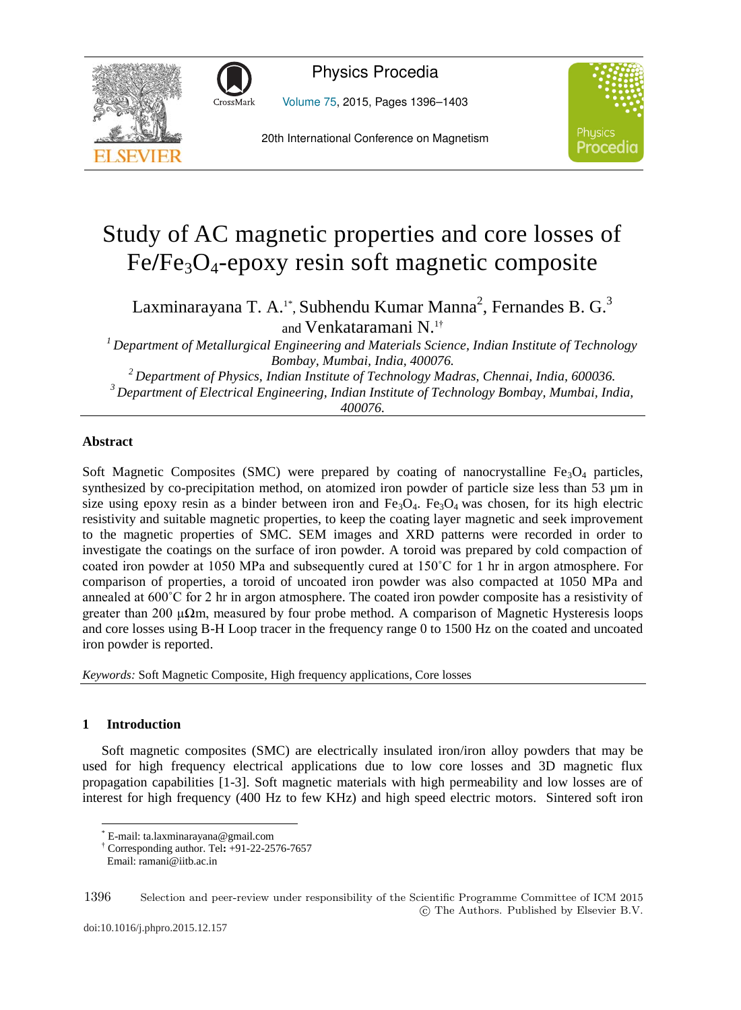



Physics Procedia

Volume 75, 2015, Pages 1396–1403

20th International Conference on Magnetism



# Study of AC magnetic properties and core losses of Fe**/**Fe3O4-epoxy resin soft magnetic composite

Laxminarayana T. A.<sup>1\*</sup>, Subhendu Kumar Manna<sup>2</sup>, Fernandes B. G.<sup>3</sup> and Venkataramani N.1†

*1 Department of Metallurgical Engineering and Materials Science, Indian Institute of Technology* 

Bombay, Mumbai, India, 400076.<br><sup>2</sup> Department of Physics, Indian Institute of Technology Madras, Chennai, India, 600036.<br><sup>3</sup> Department of Electrical Engineering, Indian Institute of Technology Bombay, Mumbai, India, *400076.*

## **Abstract**

Soft Magnetic Composites (SMC) were prepared by coating of nanocrystalline  $Fe<sub>3</sub>O<sub>4</sub>$  particles, synthesized by co-precipitation method, on atomized iron powder of particle size less than 53 µm in size using epoxy resin as a binder between iron and  $Fe<sub>3</sub>O<sub>4</sub>$ . Fe<sub>3</sub>O<sub>4</sub> was chosen, for its high electric resistivity and suitable magnetic properties, to keep the coating layer magnetic and seek improvement to the magnetic properties of SMC. SEM images and XRD patterns were recorded in order to investigate the coatings on the surface of iron powder. A toroid was prepared by cold compaction of coated iron powder at 1050 MPa and subsequently cured at 150˚C for 1 hr in argon atmosphere. For comparison of properties, a toroid of uncoated iron powder was also compacted at 1050 MPa and annealed at 600˚C for 2 hr in argon atmosphere. The coated iron powder composite has a resistivity of greater than 200 μ $\Omega$ m, measured by four probe method. A comparison of Magnetic Hysteresis loops and core losses using B-H Loop tracer in the frequency range 0 to 1500 Hz on the coated and uncoated iron powder is reported.

*Keywords:* Soft Magnetic Composite, High frequency applications, Core losses

# **1 Introduction**

 $\overline{a}$ 

Soft magnetic composites (SMC) are electrically insulated iron/iron alloy powders that may be used for high frequency electrical applications due to low core losses and 3D magnetic flux propagation capabilities [1-3]. Soft magnetic materials with high permeability and low losses are of interest for high frequency (400 Hz to few KHz) and high speed electric motors. Sintered soft iron

<sup>\*</sup> E-mail: ta.laxminarayana@gmail.com

<sup>†</sup> Corresponding author. Tel**:** +91-22-2576-7657

Email: ramani@iitb.ac.in

<sup>1396</sup> Selection and peer-review under responsibility of the Scientific Programme Committee of ICM 2015 -c The Authors. Published by Elsevier B.V.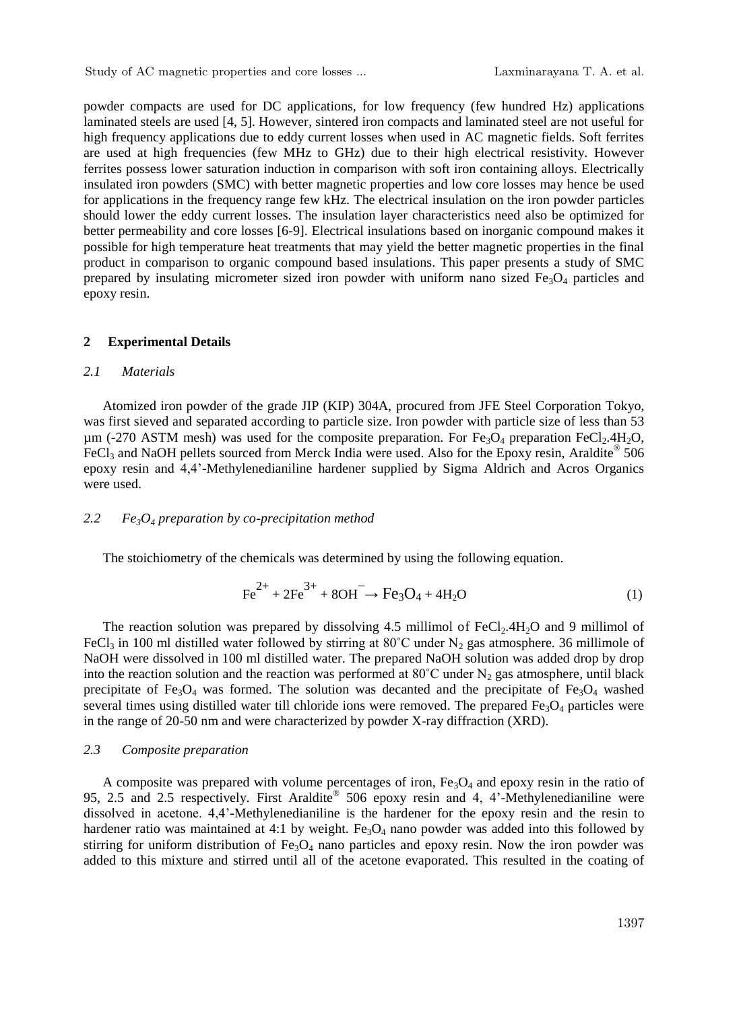powder compacts are used for DC applications, for low frequency (few hundred Hz) applications laminated steels are used [4, 5]. However, sintered iron compacts and laminated steel are not useful for high frequency applications due to eddy current losses when used in AC magnetic fields. Soft ferrites are used at high frequencies (few MHz to GHz) due to their high electrical resistivity. However ferrites possess lower saturation induction in comparison with soft iron containing alloys. Electrically insulated iron powders (SMC) with better magnetic properties and low core losses may hence be used for applications in the frequency range few kHz. The electrical insulation on the iron powder particles should lower the eddy current losses. The insulation layer characteristics need also be optimized for better permeability and core losses [6-9]. Electrical insulations based on inorganic compound makes it possible for high temperature heat treatments that may yield the better magnetic properties in the final product in comparison to organic compound based insulations. This paper presents a study of SMC prepared by insulating micrometer sized iron powder with uniform nano sized  $Fe<sub>3</sub>O<sub>4</sub>$  particles and epoxy resin.

#### **2 Experimental Details**

## *2.1 Materials*

Atomized iron powder of the grade JIP (KIP) 304A, procured from JFE Steel Corporation Tokyo, was first sieved and separated according to particle size. Iron powder with particle size of less than 53  $\mu$ m (-270 ASTM mesh) was used for the composite preparation. For Fe<sub>3</sub>O<sub>4</sub> preparation FeCl<sub>2</sub>.4H<sub>2</sub>O, FeCl<sub>3</sub> and NaOH pellets sourced from Merck India were used. Also for the Epoxy resin, Araldite<sup>®</sup> 506 epoxy resin and 4,4'-Methylenedianiline hardener supplied by Sigma Aldrich and Acros Organics were used.

#### *2.2 Fe3O4 preparation by co-precipitation method*

The stoichiometry of the chemicals was determined by using the following equation.

$$
Fe^{2+} + 2Fe^{3+} + 8OH^{-} \rightarrow Fe_3O_4 + 4H_2O
$$
 (1)

The reaction solution was prepared by dissolving 4.5 millimol of FeCl<sub>2</sub>.4H<sub>2</sub>O and 9 millimol of FeCl<sub>3</sub> in 100 ml distilled water followed by stirring at 80<sup>°</sup>C under N<sub>2</sub> gas atmosphere. 36 millimole of NaOH were dissolved in 100 ml distilled water. The prepared NaOH solution was added drop by drop into the reaction solution and the reaction was performed at  $80^{\circ}$ C under N<sub>2</sub> gas atmosphere, until black precipitate of Fe<sub>3</sub>O<sub>4</sub> was formed. The solution was decanted and the precipitate of Fe<sub>3</sub>O<sub>4</sub> washed several times using distilled water till chloride ions were removed. The prepared  $Fe<sub>3</sub>O<sub>4</sub>$  particles were in the range of 20-50 nm and were characterized by powder X-ray diffraction (XRD).

#### *2.3 Composite preparation*

A composite was prepared with volume percentages of iron,  $Fe<sub>3</sub>O<sub>4</sub>$  and epoxy resin in the ratio of 95, 2.5 and 2.5 respectively. First Araldite® 506 epoxy resin and 4, 4'-Methylenedianiline were dissolved in acetone. 4,4'-Methylenedianiline is the hardener for the epoxy resin and the resin to hardener ratio was maintained at 4:1 by weight. Fe<sub>3</sub>O<sub>4</sub> nano powder was added into this followed by stirring for uniform distribution of  $Fe<sub>3</sub>O<sub>4</sub>$  nano particles and epoxy resin. Now the iron powder was added to this mixture and stirred until all of the acetone evaporated. This resulted in the coating of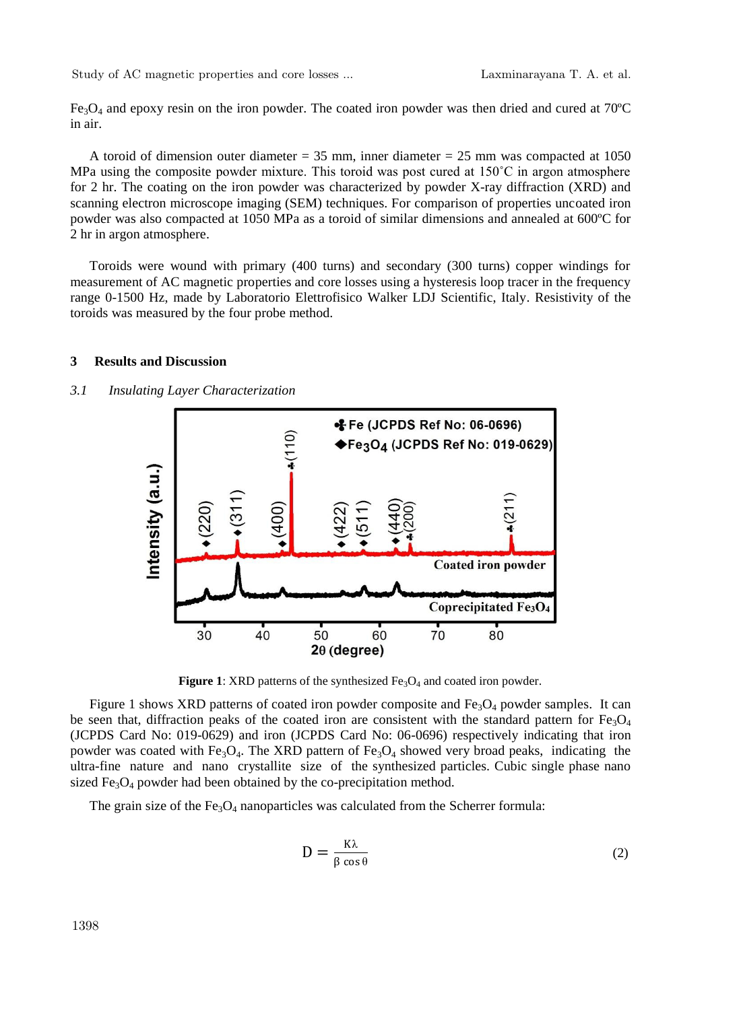$Fe<sub>3</sub>O<sub>4</sub>$  and epoxy resin on the iron powder. The coated iron powder was then dried and cured at 70 $^{\circ}$ C in air.

A toroid of dimension outer diameter =  $35$  mm, inner diameter =  $25$  mm was compacted at 1050 MPa using the composite powder mixture. This toroid was post cured at  $150^{\circ}$ C in argon atmosphere for 2 hr. The coating on the iron powder was characterized by powder X-ray diffraction (XRD) and scanning electron microscope imaging (SEM) techniques. For comparison of properties uncoated iron powder was also compacted at 1050 MPa as a toroid of similar dimensions and annealed at 600ºC for 2 hr in argon atmosphere.

Toroids were wound with primary (400 turns) and secondary (300 turns) copper windings for measurement of AC magnetic properties and core losses using a hysteresis loop tracer in the frequency range 0-1500 Hz, made by Laboratorio Elettrofisico Walker LDJ Scientific, Italy. Resistivity of the toroids was measured by the four probe method.

#### **3 Results and Discussion**

#### *3.1 Insulating Layer Characterization*



**Figure 1**: XRD patterns of the synthesized  $Fe<sub>3</sub>O<sub>4</sub>$  and coated iron powder.

Figure 1 shows XRD patterns of coated iron powder composite and  $Fe<sub>3</sub>O<sub>4</sub>$  powder samples. It can be seen that, diffraction peaks of the coated iron are consistent with the standard pattern for  $Fe<sub>3</sub>O<sub>4</sub>$ (JCPDS Card No: 019-0629) and iron (JCPDS Card No: 06-0696) respectively indicating that iron powder was coated with Fe<sub>3</sub>O<sub>4</sub>. The XRD pattern of Fe<sub>3</sub>O<sub>4</sub> showed very broad peaks, indicating the ultra-fine nature and nano crystallite size of the synthesized particles. Cubic single phase nano sized  $Fe<sub>3</sub>O<sub>4</sub>$  powder had been obtained by the co-precipitation method.

The grain size of the  $Fe<sub>3</sub>O<sub>4</sub>$  nanoparticles was calculated from the Scherrer formula:

$$
D = \frac{K\lambda}{\beta \cos \theta} \tag{2}
$$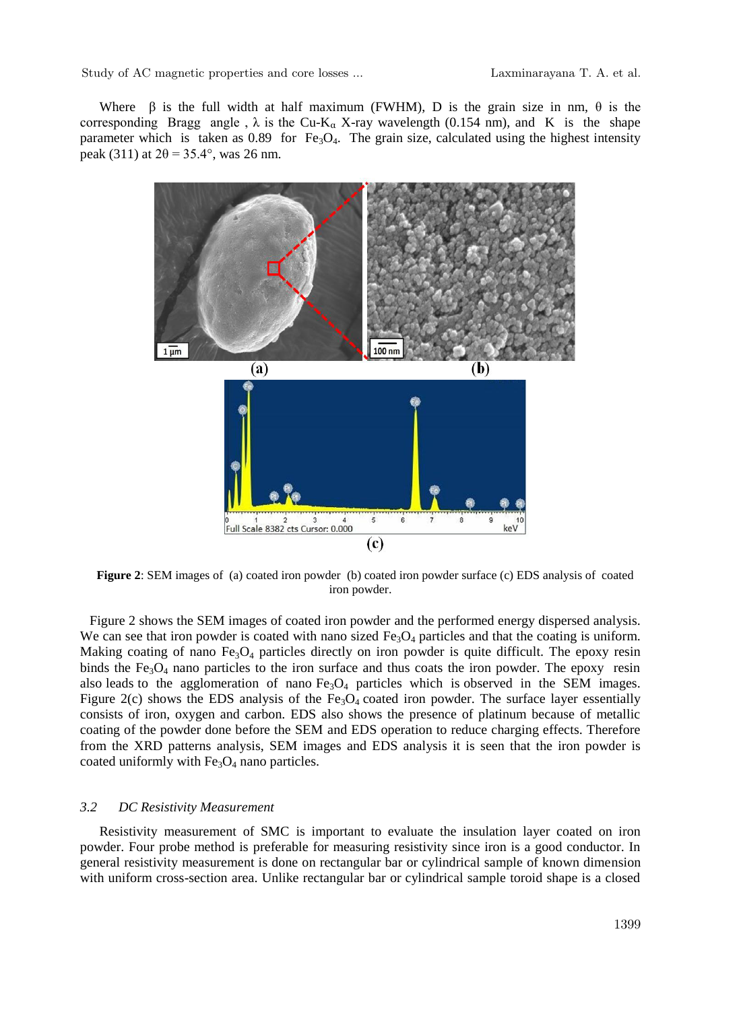Where  $\beta$  is the full width at half maximum (FWHM). D is the grain size in nm,  $\theta$  is the corresponding Bragg angle,  $\lambda$  is the Cu-K<sub>a</sub> X-ray wavelength (0.154 nm), and K is the shape parameter which is taken as 0.89 for Fe<sub>3</sub>O<sub>4</sub>. The grain size, calculated using the highest intensity peak (311) at  $2\theta = 35.4^{\circ}$ , was 26 nm.



**Figure 2**: SEM images of (a) coated iron powder (b) coated iron powder surface (c) EDS analysis of coated iron powder.

Figure 2 shows the SEM images of coated iron powder and the performed energy dispersed analysis. We can see that iron powder is coated with nano sized  $Fe<sub>3</sub>O<sub>4</sub>$  particles and that the coating is uniform. Making coating of nano  $Fe_3O_4$  particles directly on iron powder is quite difficult. The epoxy resin binds the  $Fe<sub>3</sub>O<sub>4</sub>$  nano particles to the iron surface and thus coats the iron powder. The epoxy resin also leads to the agglomeration of nano  $Fe<sub>3</sub>O<sub>4</sub>$  particles which is observed in the SEM images. Figure 2(c) shows the EDS analysis of the  $Fe<sub>3</sub>O<sub>4</sub>$  coated iron powder. The surface layer essentially consists of iron, oxygen and carbon. EDS also shows the presence of platinum because of metallic coating of the powder done before the SEM and EDS operation to reduce charging effects. Therefore from the XRD patterns analysis, SEM images and EDS analysis it is seen that the iron powder is coated uniformly with  $Fe<sub>3</sub>O<sub>4</sub>$  nano particles.

#### *3.2 DC Resistivity Measurement*

Resistivity measurement of SMC is important to evaluate the insulation layer coated on iron powder. Four probe method is preferable for measuring resistivity since iron is a good conductor. In general resistivity measurement is done on rectangular bar or cylindrical sample of known dimension with uniform cross-section area. Unlike rectangular bar or cylindrical sample toroid shape is a closed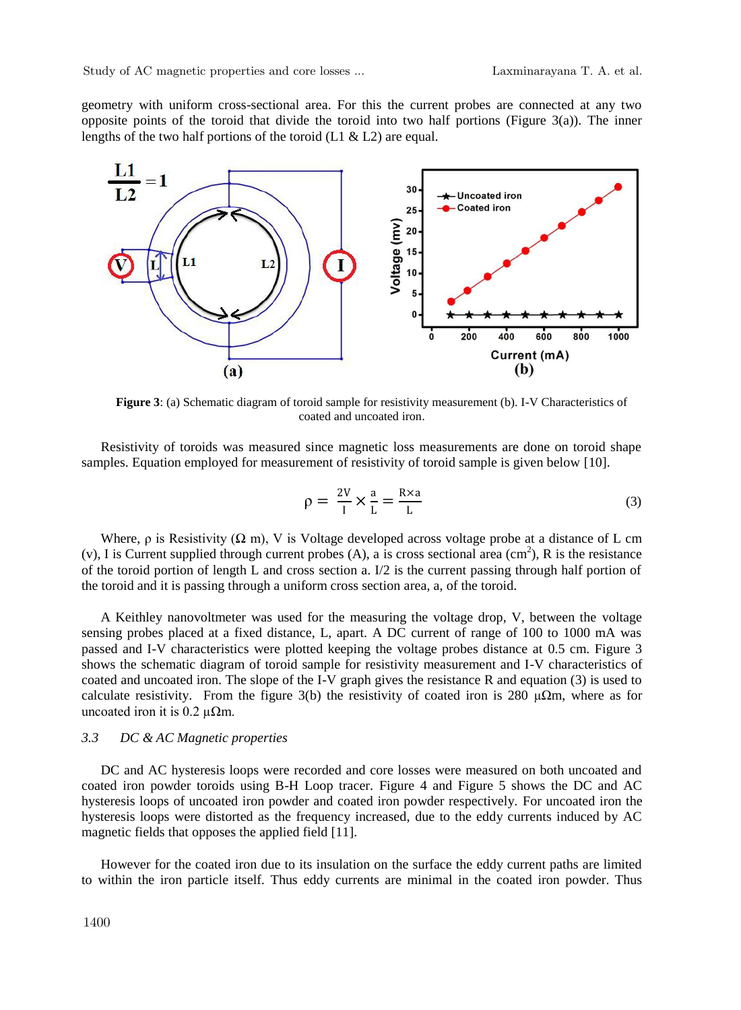geometry with uniform cross-sectional area. For this the current probes are connected at any two opposite points of the toroid that divide the toroid into two half portions (Figure 3(a)). The inner lengths of the two half portions of the toroid  $(L1 \& L2)$  are equal.



Figure 3: (a) Schematic diagram of toroid sample for resistivity measurement (b). I-V Characteristics of coated and uncoated iron.

Resistivity of toroids was measured since magnetic loss measurements are done on toroid shape samples. Equation employed for measurement of resistivity of toroid sample is given below [10].

$$
\rho = \frac{2V}{I} \times \frac{a}{L} = \frac{R \times a}{L} \tag{3}
$$

Where,  $\rho$  is Resistivity ( $\Omega$  m), V is Voltage developed across voltage probe at a distance of L cm (v), I is Current supplied through current probes  $(A)$ , a is cross sectional area  $(cm<sup>2</sup>)$ , R is the resistance of the toroid portion of length L and cross section a.  $I/2$  is the current passing through half portion of the toroid and it is passing through a uniform cross section area, a, of the toroid.

A Keithley nanovoltmeter was used for the measuring the voltage drop, V, between the voltage sensing probes placed at a fixed distance, L, apart. A DC current of range of 100 to 1000 mA was passed and I-V characteristics were plotted keeping the voltage probes distance at 0.5 cm. Figure 3 shows the schematic diagram of toroid sample for resistivity measurement and I-V characteristics of coated and uncoated iron. The slope of the I-V graph gives the resistance R and equation (3) is used to calculate resistivity. From the figure 3(b) the resistivity of coated iron is 280  $\mu\Omega$ m, where as for uncoated iron it is 0.2  $\mu\Omega$ m.

#### *3.3 DC & AC Magnetic properties*

DC and AC hysteresis loops were recorded and core losses were measured on both uncoated and coated iron powder toroids using B-H Loop tracer. Figure 4 and Figure 5 shows the DC and AC hysteresis loops of uncoated iron powder and coated iron powder respectively. For uncoated iron the hysteresis loops were distorted as the frequency increased, due to the eddy currents induced by AC magnetic fields that opposes the applied field [11].

However for the coated iron due to its insulation on the surface the eddy current paths are limited to within the iron particle itself. Thus eddy currents are minimal in the coated iron powder. Thus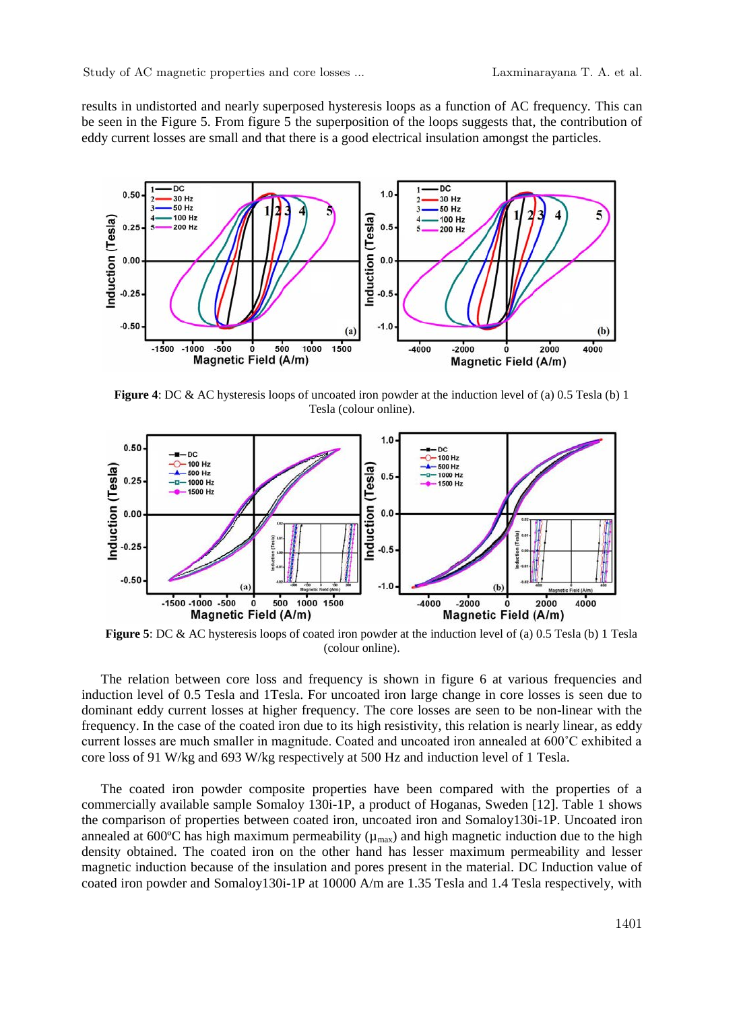results in undistorted and nearly superposed hysteresis loops as a function of AC frequency. This can be seen in the Figure 5. From figure 5 the superposition of the loops suggests that, the contribution of eddy current losses are small and that there is a good electrical insulation amongst the particles.



**Figure 4**: DC & AC hysteresis loops of uncoated iron powder at the induction level of (a) 0.5 Tesla (b) 1 Tesla (colour online).



**Figure 5**: DC & AC hysteresis loops of coated iron powder at the induction level of (a) 0.5 Tesla (b) 1 Tesla (colour online).

The relation between core loss and frequency is shown in figure 6 at various frequencies and induction level of 0.5 Tesla and 1Tesla. For uncoated iron large change in core losses is seen due to dominant eddy current losses at higher frequency. The core losses are seen to be non-linear with the frequency. In the case of the coated iron due to its high resistivity, this relation is nearly linear, as eddy current losses are much smaller in magnitude. Coated and uncoated iron annealed at 600˚C exhibited a core loss of 91 W/kg and 693 W/kg respectively at 500 Hz and induction level of 1 Tesla.

The coated iron powder composite properties have been compared with the properties of a commercially available sample Somaloy 130i-1P, a product of Hoganas, Sweden [12]. Table 1 shows the comparison of properties between coated iron, uncoated iron and Somaloy130i-1P. Uncoated iron annealed at 600 $\degree$ C has high maximum permeability ( $\mu_{\text{max}}$ ) and high magnetic induction due to the high density obtained. The coated iron on the other hand has lesser maximum permeability and lesser magnetic induction because of the insulation and pores present in the material. DC Induction value of coated iron powder and Somaloy130i-1P at 10000 A/m are 1.35 Tesla and 1.4 Tesla respectively, with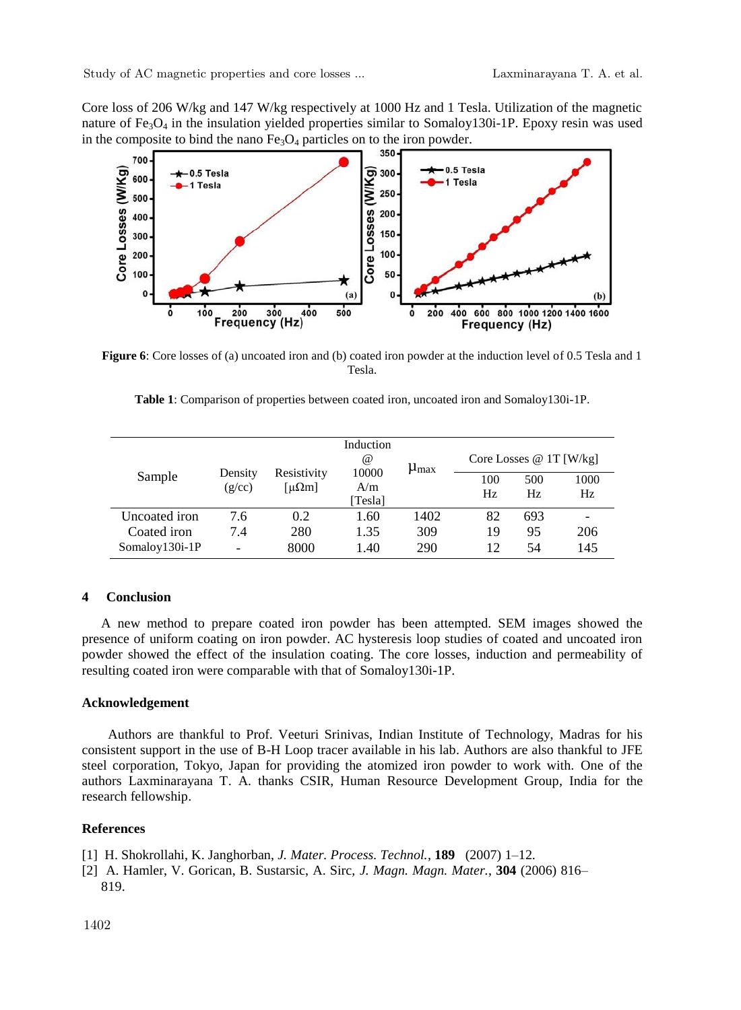Core loss of 206 W/kg and 147 W/kg respectively at 1000 Hz and 1 Tesla. Utilization of the magnetic nature of  $Fe<sub>3</sub>O<sub>4</sub>$  in the insulation yielded properties similar to Somaloy130i-1P. Epoxy resin was used in the composite to bind the nano  $Fe<sub>3</sub>O<sub>4</sub>$  particles on to the iron powder.



**Figure 6**: Core losses of (a) uncoated iron and (b) coated iron powder at the induction level of 0.5 Tesla and 1 Tesla.

|                |                   | Resistivity<br>[µ $\Omega$ m] | Induction<br>$^{\,a}$   | $\mu_{\text{max}}$ | Core Losses $@ 1T$ [W/kg] |            |             |  |  |
|----------------|-------------------|-------------------------------|-------------------------|--------------------|---------------------------|------------|-------------|--|--|
| Sample         | Density<br>(g/cc) |                               | 10000<br>A/m<br>[Tesla] |                    | 100<br>Hz                 | 500<br>Hz. | 1000<br>Hz. |  |  |
| Uncoated iron  | 7.6               | 0.2                           | 1.60                    | 1402               | 82                        | 693        | -           |  |  |
| Coated iron    | 7.4               | 280                           | 1.35                    | 309                | 19                        | 95         | 206         |  |  |
| Somaloy130i-1P | -                 | 8000                          | 1.40                    | 290                | 12                        | 54         | 145         |  |  |

|  |  | <b>Table 1:</b> Comparison of properties between coated iron, uncoated iron and Somaloy 130 i-1P. |  |  |  |  |  |  |  |  |  |  |  |
|--|--|---------------------------------------------------------------------------------------------------|--|--|--|--|--|--|--|--|--|--|--|
|--|--|---------------------------------------------------------------------------------------------------|--|--|--|--|--|--|--|--|--|--|--|

# **4 Conclusion**

A new method to prepare coated iron powder has been attempted. SEM images showed the presence of uniform coating on iron powder. AC hysteresis loop studies of coated and uncoated iron powder showed the effect of the insulation coating. The core losses, induction and permeability of resulting coated iron were comparable with that of Somaloy130i-1P.

#### **Acknowledgement**

 Authors are thankful to Prof. Veeturi Srinivas, Indian Institute of Technology, Madras for his consistent support in the use of B-H Loop tracer available in his lab. Authors are also thankful to JFE steel corporation, Tokyo, Japan for providing the atomized iron powder to work with. One of the authors Laxminarayana T. A. thanks CSIR, Human Resource Development Group, India for the research fellowship.

### **References**

[1] H. Shokrollahi, K. Janghorban, *J. Mater. Process. Technol.*, **189** (2007) 1–12.

[2] A. Hamler, V. Gorican, B. Sustarsic, A. Sirc, *J. Magn. Magn. Mater.*, **304** (2006) 816– 819.